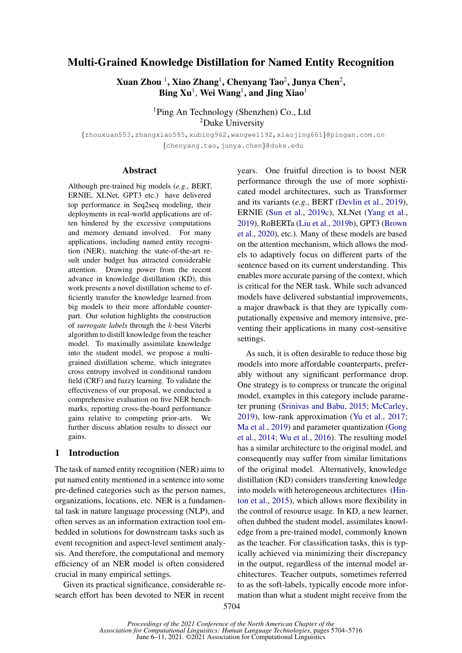# Multi-Grained Knowledge Distillation for Named Entity Recognition

 $\boldsymbol{\mathrm{X}}$ uan Zhou  $^1$ , Xiao Zhang $^1$ , Chenyang Tao $^2$ , Junya Chen $^2$ ,  $\mathbf{Bing\;} \mathbf{Xu}^1, \mathbf{Wei\;} \mathbf{Wang}^1, \mathbf{and\;Jing\;} \mathbf{Xiao}^1$ 

> <sup>1</sup>Ping An Technology (Shenzhen) Co., Ltd <sup>2</sup>Duke University

{zhouxuan553,zhangxiao585,xubing962,wangwei192,xiaojing661}@pingan.com.cn {chenyang.tao,junya.chen}@duke.edu

### Abstract

Although pre-trained big models (*e.g.*, BERT, ERNIE, XLNet, GPT3 etc.) have delivered top performance in Seq2seq modeling, their deployments in real-world applications are often hindered by the excessive computations and memory demand involved. For many applications, including named entity recognition (NER), matching the state-of-the-art result under budget has attracted considerable attention. Drawing power from the recent advance in knowledge distillation (KD), this work presents a novel distillation scheme to efficiently transfer the knowledge learned from big models to their more affordable counterpart. Our solution highlights the construction of *surrogate labels* through the k-best Viterbi algorithm to distill knowledge from the teacher model. To maximally assimilate knowledge into the student model, we propose a multigrained distillation scheme, which integrates cross entropy involved in conditional random field (CRF) and fuzzy learning. To validate the effectiveness of our proposal, we conducted a comprehensive evaluation on five NER benchmarks, reporting cross-the-board performance gains relative to competing prior-arts. We further discuss ablation results to dissect our gains.

## 1 Introduction

The task of named entity recognition (NER) aims to put named entity mentioned in a sentence into some pre-defined categories such as the person names, organizations, locations, etc. NER is a fundamental task in nature language processing (NLP), and often serves as an information extraction tool embedded in solutions for downstream tasks such as event recognition and aspect-level sentiment analysis. And therefore, the computational and memory efficiency of an NER model is often considered crucial in many empirical settings.

Given its practical significance, considerable research effort has been devoted to NER in recent

years. One fruitful direction is to boost NER performance through the use of more sophisticated model architectures, such as Transformer and its variants (*e.g.*, BERT [\(Devlin et al.,](#page-8-0) [2019\)](#page-8-0), ERNIE [\(Sun et al.,](#page-9-0) [2019c\)](#page-9-0), XLNet [\(Yang et al.,](#page-9-1) [2019\)](#page-9-1), RoBERTa [\(Liu et al.,](#page-8-1) [2019b\)](#page-8-1), GPT3 [\(Brown](#page-8-2) [et al.,](#page-8-2) [2020\)](#page-8-2), etc.). Many of these models are based on the attention mechanism, which allows the models to adaptively focus on different parts of the sentence based on its current understanding. This enables more accurate parsing of the context, which is critical for the NER task. While such advanced models have delivered substantial improvements, a major drawback is that they are typically computationally expensive and memory intensive, preventing their applications in many cost-sensitive settings.

As such, it is often desirable to reduce those big models into more affordable counterparts, preferably without any significant performance drop. One strategy is to compress or truncate the original model, examples in this category include parameter pruning [\(Srinivas and Babu,](#page-9-2) [2015;](#page-9-2) [McCarley,](#page-8-3) [2019\)](#page-8-3), low-rank approximation [\(Yu et al.,](#page-9-3) [2017;](#page-9-3) [Ma et al.,](#page-8-4) [2019\)](#page-8-4) and parameter quantization [\(Gong](#page-8-5) [et al.,](#page-8-5) [2014;](#page-8-5) [Wu et al.,](#page-9-4) [2016\)](#page-9-4). The resulting model has a similar architecture to the original model, and consequently may suffer from similar limitations of the original model. Alternatively, knowledge distillation (KD) considers transferring knowledge into models with heterogeneous architectures [\(Hin](#page-8-6)[ton et al.,](#page-8-6) [2015\)](#page-8-6), which allows more flexibility in the control of resource usage. In KD, a new learner, often dubbed the student model, assimilates knowledge from a pre-trained model, commonly known as the teacher. For classification tasks, this is typically achieved via minimizing their discrepancy in the output, regardless of the internal model architectures. Teacher outputs, sometimes referred to as the soft-labels, typically encode more information than what a student might receive from the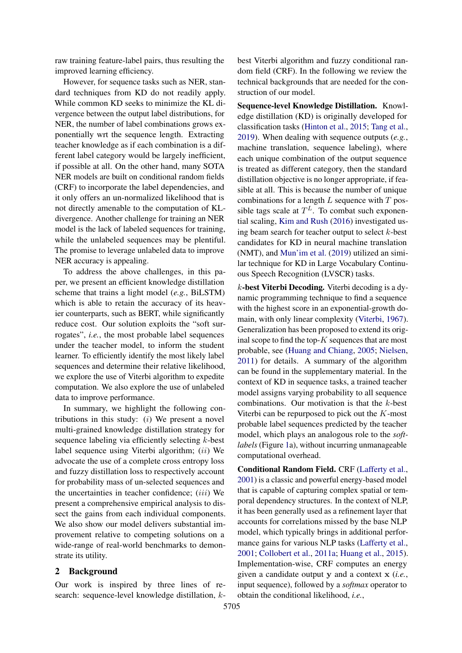raw training feature-label pairs, thus resulting the improved learning efficiency.

However, for sequence tasks such as NER, standard techniques from KD do not readily apply. While common KD seeks to minimize the KL divergence between the output label distributions, for NER, the number of label combinations grows exponentially wrt the sequence length. Extracting teacher knowledge as if each combination is a different label category would be largely inefficient, if possible at all. On the other hand, many SOTA NER models are built on conditional random fields (CRF) to incorporate the label dependencies, and it only offers an un-normalized likelihood that is not directly amenable to the computation of KLdivergence. Another challenge for training an NER model is the lack of labeled sequences for training, while the unlabeled sequences may be plentiful. The promise to leverage unlabeled data to improve NER accuracy is appealing.

To address the above challenges, in this paper, we present an efficient knowledge distillation scheme that trains a light model (*e.g.*, BiLSTM) which is able to retain the accuracy of its heavier counterparts, such as BERT, while significantly reduce cost. Our solution exploits the "soft surrogates", *i.e.*, the most probable label sequences under the teacher model, to inform the student learner. To efficiently identify the most likely label sequences and determine their relative likelihood, we explore the use of Viterbi algorithm to expedite computation. We also explore the use of unlabeled data to improve performance.

In summary, we highlight the following contributions in this study:  $(i)$  We present a novel multi-grained knowledge distillation strategy for sequence labeling via efficiently selecting k-best label sequence using Viterbi algorithm; (ii) We advocate the use of a complete cross entropy loss and fuzzy distillation loss to respectively account for probability mass of un-selected sequences and the uncertainties in teacher confidence;  $(iii)$  We present a comprehensive empirical analysis to dissect the gains from each individual components. We also show our model delivers substantial improvement relative to competing solutions on a wide-range of real-world benchmarks to demonstrate its utility.

## 2 Background

Our work is inspired by three lines of research: sequence-level knowledge distillation, kbest Viterbi algorithm and fuzzy conditional random field (CRF). In the following we review the technical backgrounds that are needed for the construction of our model.

Sequence-level Knowledge Distillation. Knowledge distillation (KD) is originally developed for classification tasks [\(Hinton et al.,](#page-8-6) [2015;](#page-8-6) [Tang et al.,](#page-9-5) [2019\)](#page-9-5). When dealing with sequence outputs (*e.g.*, machine translation, sequence labeling), where each unique combination of the output sequence is treated as different category, then the standard distillation objective is no longer appropriate, if feasible at all. This is because the number of unique combinations for a length  $L$  sequence with  $T$  possible tags scale at  $T^L$ . To combat such exponential scaling, [Kim and Rush](#page-8-7) [\(2016\)](#page-8-7) investigated using beam search for teacher output to select  $k$ -best candidates for KD in neural machine translation (NMT), and [Mun'im et al.](#page-9-6) [\(2019\)](#page-9-6) utilized an similar technique for KD in Large Vocabulary Continuous Speech Recognition (LVSCR) tasks.

 $k$ -best Viterbi Decoding. Viterbi decoding is a dynamic programming technique to find a sequence with the highest score in an exponential-growth domain, with only linear complexity [\(Viterbi,](#page-9-7) [1967\)](#page-9-7). Generalization has been proposed to extend its original scope to find the top- $K$  sequences that are most probable, see [\(Huang and Chiang,](#page-8-8) [2005;](#page-8-8) [Nielsen,](#page-9-8) [2011\)](#page-9-8) for details. A summary of the algorithm can be found in the supplementary material. In the context of KD in sequence tasks, a trained teacher model assigns varying probability to all sequence combinations. Our motivation is that the k-best Viterbi can be repurposed to pick out the K-most probable label sequences predicted by the teacher model, which plays an analogous role to the *softlabels* (Figure [1a](#page-2-0)), without incurring unmanageable computational overhead.

<span id="page-1-0"></span>Conditional Random Field. CRF [\(Lafferty et al.,](#page-8-9) [2001\)](#page-8-9) is a classic and powerful energy-based model that is capable of capturing complex spatial or temporal dependency structures. In the context of NLP, it has been generally used as a refinement layer that accounts for correlations missed by the base NLP model, which typically brings in additional performance gains for various NLP tasks [\(Lafferty et al.,](#page-8-9) [2001;](#page-8-9) [Collobert et al.,](#page-8-10) [2011a;](#page-8-10) [Huang et al.,](#page-8-11) [2015\)](#page-8-11). Implementation-wise, CRF computes an energy given a candidate output y and a context x (*i.e.*, input sequence), followed by a *softmax* operator to obtain the conditional likelihood, *i.e.*,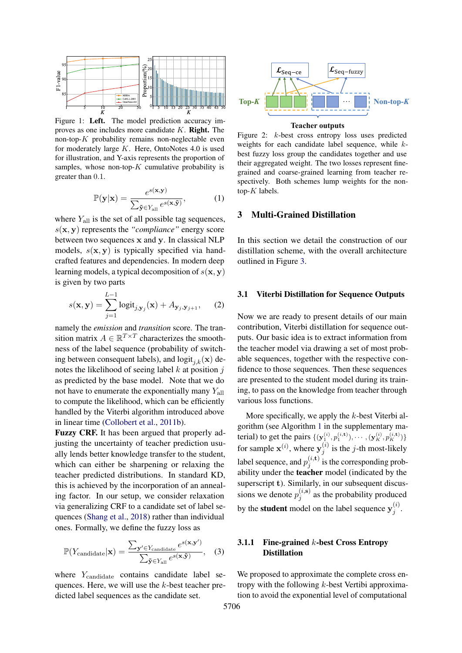<span id="page-2-0"></span>

Figure 1: Left. The model prediction accuracy improves as one includes more candidate  $K$ . **Right.** The non-top- $K$  probability remains non-neglectable even for moderately large  $K$ . Here, OntoNotes 4.0 is used for illustration, and Y-axis represents the proportion of samples, whose non-top- $K$  cumulative probability is greater than 0.1.

$$
\mathbb{P}(\mathbf{y}|\mathbf{x}) = \frac{e^{s(\mathbf{x}, \mathbf{y})}}{\sum_{\tilde{\mathbf{y}} \in Y_{\text{all}}} e^{s(\mathbf{x}, \tilde{\mathbf{y}})}},\tag{1}
$$

where  $Y_{all}$  is the set of all possible tag sequences, s(x, y) represents the *"compliance"* energy score between two sequences x and y. In classical NLP models,  $s(x, y)$  is typically specified via handcrafted features and dependencies. In modern deep learning models, a typical decomposition of  $s(\mathbf{x}, \mathbf{y})$ is given by two parts

<span id="page-2-2"></span>
$$
s(\mathbf{x}, \mathbf{y}) = \sum_{j=1}^{L-1} \text{logit}_{j, \mathbf{y}_j}(\mathbf{x}) + A_{\mathbf{y}_j, \mathbf{y}_{j+1}}, \quad (2)
$$

namely the *emission* and *transition* score. The transition matrix  $A \in \mathbb{R}^{T \times T}$  characterizes the smoothness of the label sequence (probability of switching between consequent labels), and  $\mathrm{logit}_{i,k}(\mathbf{x})$  denotes the likelihood of seeing label  $k$  at position  $j$ as predicted by the base model. Note that we do not have to enumerate the exponentially many  $Y_{all}$ to compute the likelihood, which can be efficiently handled by the Viterbi algorithm introduced above in linear time [\(Collobert et al.,](#page-8-12) [2011b\)](#page-8-12).

Fuzzy CRF. It has been argued that properly adjusting the uncertainty of teacher prediction usually lends better knowledge transfer to the student, which can either be sharpening or relaxing the teacher predicted distributions. In standard KD, this is achieved by the incorporation of an annealing factor. In our setup, we consider relaxation via generalizing CRF to a candidate set of label sequences [\(Shang et al.,](#page-9-9) [2018\)](#page-9-9) rather than individual ones. Formally, we define the fuzzy loss as

$$
\mathbb{P}(Y_{\text{candidate}}|\mathbf{x}) = \frac{\sum_{\mathbf{y}' \in Y_{\text{candidate}}} e^{s(\mathbf{x}, \mathbf{y}')}}{\sum_{\tilde{\mathbf{y}} \in Y_{\text{all}}} e^{s(\mathbf{x}, \tilde{\mathbf{y}})}}, \quad (3)
$$

where Y<sub>candidate</sub> contains candidate label sequences. Here, we will use the k-best teacher predicted label sequences as the candidate set.

<span id="page-2-1"></span>

#### **Teacher outputs**

Figure 2: k-best cross entropy loss uses predicted weights for each candidate label sequence, while kbest fuzzy loss group the candidates together and use their aggregated weight. The two losses represent finegrained and coarse-grained learning from teacher respectively. Both schemes lump weights for the nontop- $K$  labels.

## 3 Multi-Grained Distillation

In this section we detail the construction of our distillation scheme, with the overall architecture outlined in Figure [3.](#page-3-0)

### 3.1 Viterbi Distillation for Sequence Outputs

Now we are ready to present details of our main contribution, Viterbi distillation for sequence outputs. Our basic idea is to extract information from the teacher model via drawing a set of most probable sequences, together with the respective confidence to those sequences. Then these sequences are presented to the student model during its training, to pass on the knowledge from teacher through various loss functions.

More specifically, we apply the  $k$ -best Viterbi algorithm (see Algorithm [1](#page-10-0) in the supplementary material) to get the pairs  $\{(\mathbf{y}_1^{(i)}, p_1^{(i, t)}), \cdots, (\mathbf{y}_K^{(i)}, p_K^{(i, t)})\}$ for sample  $\mathbf{x}^{(i)}$ , where  $\mathbf{y}_i^{(i)}$  $j^{(i)}$  is the *j*-th most-likely label sequence, and  $p_i^{(i, \mathbf{t})}$  $j_j^{(i, \mathbf{t})}$  is the corresponding probability under the teacher model (indicated by the superscript t). Similarly, in our subsequent discussions we denote  $p_i^{(i,s)}$  $j_j^{(i, s)}$  as the probability produced by the **student** model on the label sequence  $y_j^{(i)}$  $\frac{j}{j}$ .

## 3.1.1 Fine-grained  $k$ -best Cross Entropy Distillation

We proposed to approximate the complete cross entropy with the following  $k$ -best Vertibi approximation to avoid the exponential level of computational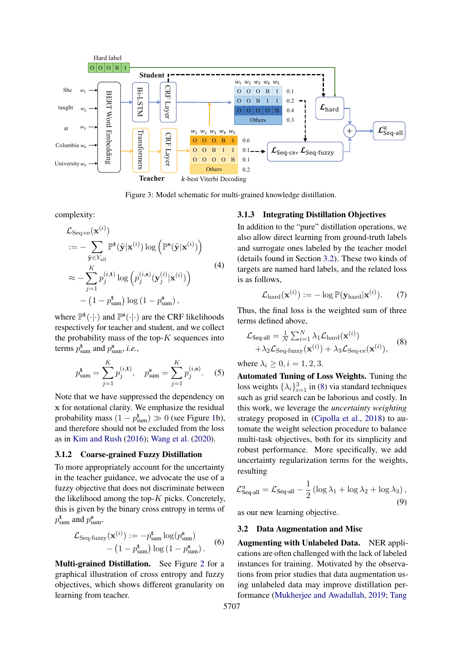<span id="page-3-0"></span>

Figure 3: Model schematic for multi-grained knowledge distillation.

complexity:

$$
\mathcal{L}_{\text{Seq-ce}}(\mathbf{x}^{(i)})
$$
\n
$$
:= -\sum_{\tilde{\mathbf{y}} \in Y_{\text{all}}} \mathbb{P}^{\mathbf{t}}(\tilde{\mathbf{y}}|\mathbf{x}^{(i)}) \log \left( \mathbb{P}^{\mathbf{s}}(\tilde{\mathbf{y}}|\mathbf{x}^{(i)}) \right)
$$
\n
$$
\approx -\sum_{j=1}^{K} p_j^{(i,\mathbf{t})} \log \left( p_j^{(i,\mathbf{s})}(\mathbf{y}_j^{(i)}|\mathbf{x}^{(i)}) \right)
$$
\n
$$
- \left( 1 - p_{\text{sum}}^{\mathbf{t}} \right) \log \left( 1 - p_{\text{sum}}^{\mathbf{s}} \right),
$$
\n(4)

where  $\mathbb{P}^{t}(\cdot|\cdot)$  and  $\mathbb{P}^{s}(\cdot|\cdot)$  are the CRF likelihoods respectively for teacher and student, and we collect the probability mass of the top- $K$  sequences into terms  $p_{\text{sum}}^{\text{t}}$  and  $p_{\text{sum}}^{\text{s}}$ , *i.e.*,

$$
p_{\text{sum}}^{\text{t}} = \sum_{j=1}^{K} p_j^{(i,\text{t})}, \quad p_{\text{sum}}^{\text{s}} = \sum_{j=1}^{K} p_j^{(i,\text{s})}.
$$
 (5)

Note that we have suppressed the dependency on x for notational clarity. We emphasize the residual probability mass  $(1 - p_{sum}^{t}) \gg 0$  (see Figure [1b](#page-2-0)), and therefore should not be excluded from the loss as in [Kim and Rush](#page-8-7) [\(2016\)](#page-8-7); [Wang et al.](#page-9-10) [\(2020\)](#page-9-10).

### 3.1.2 Coarse-grained Fuzzy Distillation

To more appropriately account for the uncertainty in the teacher guidance, we advocate the use of a fuzzy objective that does not discriminate between the likelihood among the top- $K$  picks. Concretely, this is given by the binary cross entropy in terms of  $p_{\text{sum}}^{\text{t}}$  and  $p_{\text{sum}}^{\text{s}}$ ,

$$
\mathcal{L}_{\text{Seq-fuzzy}}(\mathbf{x}^{(i)}) := -p_{\text{sum}}^{\mathbf{t}} \log(p_{\text{sum}}^{\mathbf{s}})
$$

$$
- (1 - p_{\text{sum}}^{\mathbf{t}}) \log(1 - p_{\text{sum}}^{\mathbf{s}}).
$$
 (6)

Multi-grained Distillation. See Figure [2](#page-2-1) for a graphical illustration of cross entropy and fuzzy objectives, which shows different granularity on learning from teacher.

### 3.1.3 Integrating Distillation Objectives

In addition to the "pure" distillation operations, we also allow direct learning from ground-truth labels and surrogate ones labeled by the teacher model (details found in Section [3.2\)](#page-3-1). These two kinds of targets are named hard labels, and the related loss is as follows,

<span id="page-3-2"></span>
$$
\mathcal{L}_{\text{hard}}(\mathbf{x}^{(i)}) := -\log \mathbb{P}(\mathbf{y}_{\text{hard}}|\mathbf{x}^{(i)}).
$$
 (7)

Thus, the final loss is the weighted sum of three terms defined above,

$$
\mathcal{L}_{\text{Seq-all}} = \frac{1}{N} \sum_{i=1}^{N} \lambda_1 \mathcal{L}_{\text{hard}}(\mathbf{x}^{(i)}) + \lambda_2 \mathcal{L}_{\text{Seq-fuzzy}}(\mathbf{x}^{(i)}) + \lambda_3 \mathcal{L}_{\text{Seq-ce}}(\mathbf{x}^{(i)}),
$$
(8)

where  $\lambda_i \geq 0, i = 1, 2, 3$ .

Automated Tuning of Loss Weights. Tuning the loss weights  $\{\lambda_i\}_{i=1}^3$  in [\(8\)](#page-3-2) via standard techniques such as grid search can be laborious and costly. In this work, we leverage the *uncertainty weighting* strategy proposed in [\(Cipolla et al.,](#page-8-13) [2018\)](#page-8-13) to automate the weight selection procedure to balance multi-task objectives, both for its simplicity and robust performance. More specifically, we add uncertainty regularization terms for the weights, resulting

<span id="page-3-3"></span>
$$
\mathcal{L}_{\text{Seq-all}}^{\text{u}} = \mathcal{L}_{\text{Seq-all}} - \frac{1}{2} \left( \log \lambda_1 + \log \lambda_2 + \log \lambda_3 \right),\tag{9}
$$

as our new learning objective.

### <span id="page-3-1"></span>3.2 Data Augmentation and Misc

Augmenting with Unlabeled Data. NER applications are often challenged with the lack of labeled instances for training. Motivated by the observations from prior studies that data augmentation using unlabeled data may improve distillation performance [\(Mukherjee and Awadallah,](#page-9-11) [2019;](#page-9-11) [Tang](#page-9-5)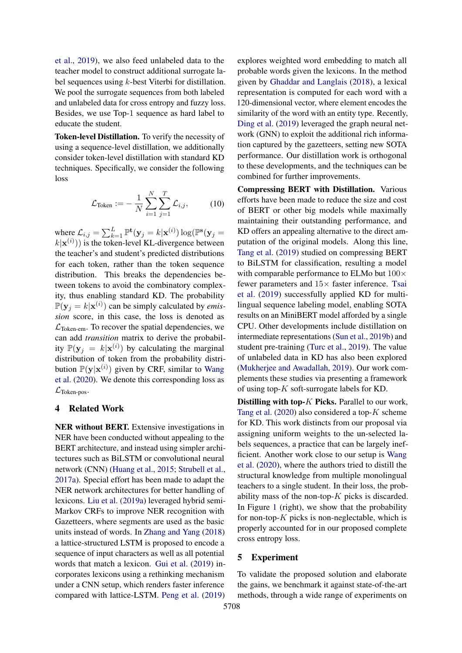[et al.,](#page-9-5) [2019\)](#page-9-5), we also feed unlabeled data to the teacher model to construct additional surrogate label sequences using  $k$ -best Viterbi for distillation. We pool the surrogate sequences from both labeled and unlabeled data for cross entropy and fuzzy loss. Besides, we use Top-1 sequence as hard label to educate the student.

Token-level Distillation. To verify the necessity of using a sequence-level distillation, we additionally consider token-level distillation with standard KD techniques. Specifically, we consider the following loss

$$
\mathcal{L}_{\text{Token}} := -\frac{1}{N} \sum_{i=1}^{N} \sum_{j=1}^{T} \mathcal{L}_{i,j}, \tag{10}
$$

where  $\mathcal{L}_{i,j} = \sum_{k=1}^{L} \mathbb{P}^{\text{t}}(\mathbf{y}_j = k | \mathbf{x}^{(i)}) \log(\mathbb{P}^{\text{s}}(\mathbf{y}_j =$  $k|\mathbf{x}^{(i)}$ ) is the token-level KL-divergence between the teacher's and student's predicted distributions for each token, rather than the token sequence distribution. This breaks the dependencies between tokens to avoid the combinatory complexity, thus enabling standard KD. The probability  $\mathbb{P}(\mathbf{y}_j = k | \mathbf{x}^{(i)})$  can be simply calculated by *emission* score, in this case, the loss is denoted as  $\mathcal{L}_{\text{Token-em}}$ . To recover the spatial dependencies, we can add *transition* matrix to derive the probability  $\mathbb{P}(\mathbf{y}_j = k | \mathbf{x}^{(i)})$  by calculating the marginal distribution of token from the probability distribution  $\mathbb{P}(\mathbf{y}|\mathbf{x}^{(i)})$  given by CRF, similar to [Wang](#page-9-10) [et al.](#page-9-10) [\(2020\)](#page-9-10). We denote this corresponding loss as  $\mathcal{L}_{\text{Token-pos}}$ .

### 4 Related Work

NER without BERT. Extensive investigations in NER have been conducted without appealing to the BERT architecture, and instead using simpler architectures such as BiLSTM or convolutional neural network (CNN) [\(Huang et al.,](#page-8-11) [2015;](#page-8-11) [Strubell et al.,](#page-9-12) [2017a\)](#page-9-12). Special effort has been made to adapt the NER network architectures for better handling of lexicons. [Liu et al.](#page-8-14) [\(2019a\)](#page-8-14) leveraged hybrid semi-Markov CRFs to improve NER recognition with Gazetteers, where segments are used as the basic units instead of words. In [Zhang and Yang](#page-9-13) [\(2018\)](#page-9-13) a lattice-structured LSTM is proposed to encode a sequence of input characters as well as all potential words that match a lexicon. [Gui et al.](#page-8-15) [\(2019\)](#page-8-15) incorporates lexicons using a rethinking mechanism under a CNN setup, which renders faster inference compared with lattice-LSTM. [Peng et al.](#page-9-14) [\(2019\)](#page-9-14)

explores weighted word embedding to match all probable words given the lexicons. In the method given by [Ghaddar and Langlais](#page-8-16) [\(2018\)](#page-8-16), a lexical representation is computed for each word with a 120-dimensional vector, where element encodes the similarity of the word with an entity type. Recently, [Ding et al.](#page-8-17) [\(2019\)](#page-8-17) leveraged the graph neural network (GNN) to exploit the additional rich information captured by the gazetteers, setting new SOTA performance. Our distillation work is orthogonal to these developments, and the techniques can be combined for further improvements.

Compressing BERT with Distillation. Various efforts have been made to reduce the size and cost of BERT or other big models while maximally maintaining their outstanding performance, and KD offers an appealing alternative to the direct amputation of the original models. Along this line, [Tang et al.](#page-9-5) [\(2019\)](#page-9-5) studied on compressing BERT to BiLSTM for classification, resulting a model with comparable performance to ELMo but  $100 \times$ fewer parameters and  $15\times$  faster inference. [Tsai](#page-9-15) [et al.](#page-9-15) [\(2019\)](#page-9-15) successfully applied KD for multilingual sequence labeling model, enabling SOTA results on an MiniBERT model afforded by a single CPU. Other developments include distillation on intermediate representations [\(Sun et al.,](#page-9-16) [2019b\)](#page-9-16) and student pre-training [\(Turc et al.,](#page-9-17) [2019\)](#page-9-17). The value of unlabeled data in KD has also been explored [\(Mukherjee and Awadallah,](#page-9-11) [2019\)](#page-9-11). Our work complements these studies via presenting a framework of using top-K soft-surrogate labels for KD.

Distilling with top- $K$  Picks. Parallel to our work, [Tang et al.](#page-9-18) [\(2020\)](#page-9-18) also considered a top- $K$  scheme for KD. This work distincts from our proposal via assigning uniform weights to the un-selected labels sequences, a practice that can be largely inefficient. Another work close to our setup is [Wang](#page-9-10) [et al.](#page-9-10) [\(2020\)](#page-9-10), where the authors tried to distill the structural knowledge from multiple monolingual teachers to a single student. In their loss, the probability mass of the non-top- $K$  picks is discarded. In Figure [1](#page-2-0) (right), we show that the probability for non-top- $K$  picks is non-neglectable, which is properly accounted for in our proposed complete cross entropy loss.

### 5 Experiment

To validate the proposed solution and elaborate the gains, we benchmark it against state-of-the-art methods, through a wide range of experiments on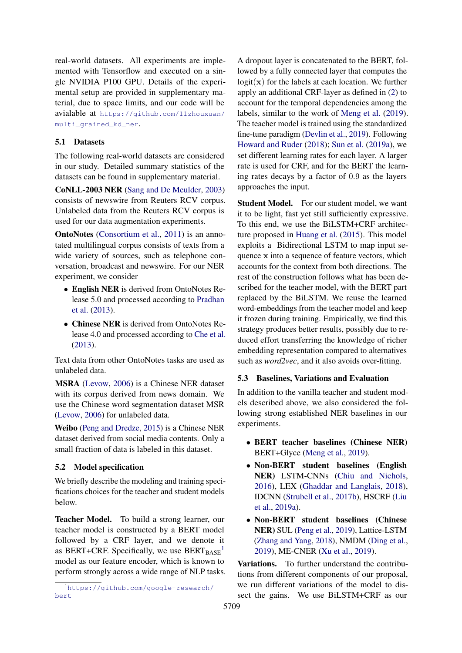real-world datasets. All experiments are implemented with Tensorflow and executed on a single NVIDIA P100 GPU. Details of the experimental setup are provided in supplementary material, due to space limits, and our code will be avialable at [https://github.com/11zhouxuan/](https://github.com/11zhouxuan/multi_grained_kd_ner) [multi\\_grained\\_kd\\_ner](https://github.com/11zhouxuan/multi_grained_kd_ner).

# 5.1 Datasets

The following real-world datasets are considered in our study. Detailed summary statistics of the datasets can be found in supplementary material.

CoNLL-2003 NER [\(Sang and De Meulder,](#page-9-19) [2003\)](#page-9-19) consists of newswire from Reuters RCV corpus. Unlabeled data from the Reuters RCV corpus is used for our data augmentation experiments.

OntoNotes [\(Consortium et al.,](#page-8-18) [2011\)](#page-8-18) is an annotated multilingual corpus consists of texts from a wide variety of sources, such as telephone conversation, broadcast and newswire. For our NER experiment, we consider

- English NER is derived from OntoNotes Release 5.0 and processed according to [Pradhan](#page-9-20) [et al.](#page-9-20) [\(2013\)](#page-9-20).
- Chinese NER is derived from OntoNotes Release 4.0 and processed according to [Che et al.](#page-8-19) [\(2013\)](#page-8-19).

Text data from other OntoNotes tasks are used as unlabeled data.

MSRA [\(Levow,](#page-8-20) [2006\)](#page-8-20) is a Chinese NER dataset with its corpus derived from news domain. We use the Chinese word segmentation dataset MSR [\(Levow,](#page-8-20) [2006\)](#page-8-20) for unlabeled data.

Weibo [\(Peng and Dredze,](#page-9-21) [2015\)](#page-9-21) is a Chinese NER dataset derived from social media contents. Only a small fraction of data is labeled in this dataset.

# 5.2 Model specification

We briefly describe the modeling and training specifications choices for the teacher and student models below.

Teacher Model. To build a strong learner, our teacher model is constructed by a BERT model followed by a CRF layer, and we denote it as BERT+CRF. Specifically, we use  $BERT_{BASE}$ <sup>[1](#page-5-0)</sup> model as our feature encoder, which is known to perform strongly across a wide range of NLP tasks. A dropout layer is concatenated to the BERT, followed by a fully connected layer that computes the  $logit(\mathbf{x})$  for the labels at each location. We further apply an additional CRF-layer as defined in [\(2\)](#page-2-2) to account for the temporal dependencies among the labels, similar to the work of [Meng et al.](#page-9-22) [\(2019\)](#page-9-22). The teacher model is trained using the standardized fine-tune paradigm [\(Devlin et al.,](#page-8-0) [2019\)](#page-8-0). Following [Howard and Ruder](#page-8-21) [\(2018\)](#page-8-21); [Sun et al.](#page-9-23) [\(2019a\)](#page-9-23), we set different learning rates for each layer. A larger rate is used for CRF, and for the BERT the learning rates decays by a factor of 0.9 as the layers approaches the input.

Student Model. For our student model, we want it to be light, fast yet still sufficiently expressive. To this end, we use the BiLSTM+CRF architecture proposed in [Huang et al.](#page-8-11) [\(2015\)](#page-8-11). This model exploits a Bidirectional LSTM to map input sequence x into a sequence of feature vectors, which accounts for the context from both directions. The rest of the construction follows what has been described for the teacher model, with the BERT part replaced by the BiLSTM. We reuse the learned word-embeddings from the teacher model and keep it frozen during training. Empirically, we find this strategy produces better results, possibly due to reduced effort transferring the knowledge of richer embedding representation compared to alternatives such as *word2vec*, and it also avoids over-fitting.

# 5.3 Baselines, Variations and Evaluation

In addition to the vanilla teacher and student models described above, we also considered the following strong established NER baselines in our experiments.

- BERT teacher baselines (Chinese NER) BERT+Glyce [\(Meng et al.,](#page-9-22) [2019\)](#page-9-22).
- Non-BERT student baselines (English NER) LSTM-CNNs [\(Chiu and Nichols,](#page-8-22) [2016\)](#page-8-22), LEX [\(Ghaddar and Langlais,](#page-8-16) [2018\)](#page-8-16), IDCNN [\(Strubell et al.,](#page-9-24) [2017b\)](#page-9-24), HSCRF [\(Liu](#page-8-14) [et al.,](#page-8-14) [2019a\)](#page-8-14).
- Non-BERT student baselines (Chinese NER) SUL [\(Peng et al.,](#page-9-14) [2019\)](#page-9-14), Lattice-LSTM [\(Zhang and Yang,](#page-9-13) [2018\)](#page-9-13), NMDM [\(Ding et al.,](#page-8-17) [2019\)](#page-8-17), ME-CNER [\(Xu et al.,](#page-9-25) [2019\)](#page-9-25).

Variations. To further understand the contributions from different components of our proposal, we run different variations of the model to dissect the gains. We use BiLSTM+CRF as our

<span id="page-5-0"></span><sup>1</sup>[https://github.com/google-research/](https://github.com/google-research/bert) [bert](https://github.com/google-research/bert)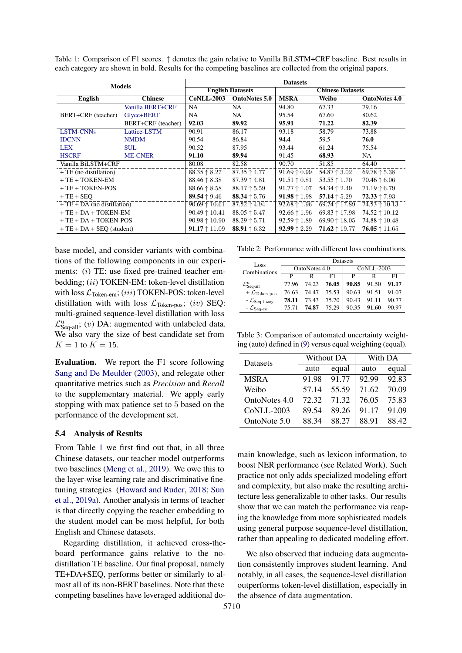<span id="page-6-0"></span>Table 1: Comparison of F1 scores. ↑ denotes the gain relative to Vanilla BiLSTM+CRF baseline. Best results in each category are shown in bold. Results for the competing baselines are collected from the original papers.

| <b>Models</b>                |                    | <b>Datasets</b>               |                         |                       |                         |                        |  |
|------------------------------|--------------------|-------------------------------|-------------------------|-----------------------|-------------------------|------------------------|--|
|                              |                    |                               | <b>English Datasets</b> |                       | <b>Chinese Datasets</b> |                        |  |
| <b>English</b>               | <b>Chinese</b>     | <b>CoNLL-2003</b>             | <b>OntoNotes 5.0</b>    | <b>MSRA</b>           | Weibo                   | <b>OntoNotes 4.0</b>   |  |
|                              | Vanilla BERT+CRF   | NA                            | NA.                     | 94.80                 | 67.33                   | 79.16                  |  |
| BERT+CRF (teacher)           | Glyce+BERT         | NA.                           | NA.                     | 95.54                 | 67.60                   | 80.62                  |  |
|                              | BERT+CRF (teacher) | 92.03                         | 89.92                   | 95.91                 | 71.22                   | 82.39                  |  |
| <b>LSTM-CNNs</b>             | Lattice-LSTM       | 90.91                         | 86.17                   | 93.18                 | 58.79                   | 73.88                  |  |
| <b>IDCNN</b>                 | <b>NMDM</b>        | 90.54                         | 86.84                   | 94.4                  | 59.5                    | 76.0                   |  |
| <b>LEX</b>                   | <b>SUL</b>         | 90.52                         | 87.95                   | 93.44                 | 61.24                   | 75.54                  |  |
| <b>HSCRF</b>                 | <b>ME-CNER</b>     | 91.10                         | 89.94                   | 91.45                 | 68.93                   | NA.                    |  |
| Vanilla BiLSTM+CRF           |                    | 80.08                         | 82.58                   | 90.70                 | 51.85                   | 64.40                  |  |
| + TE (no distillation)       |                    | $88.35 \uparrow 8.27$         | $87.35 \uparrow 4.77$   | $91.69 \uparrow 0.99$ | 54.87 $\uparrow$ 3.02   | 69.78 $\uparrow$ 5.38  |  |
| $+TE + TOKEN-EM$             |                    | $88.46 \uparrow 8.38$         | $87.39 \uparrow 4.81$   | $91.51 \uparrow 0.81$ | $53.55 \uparrow 1.70$   | $70.46 \uparrow 6.06$  |  |
| + TE + TOKEN-POS             |                    | $88.66 \uparrow 8.58$         | $88.17 \uparrow 5.59$   | $91.77 \uparrow 1.07$ | 54.34 $\uparrow$ 2.49   | $71.19 \uparrow 6.79$  |  |
| $+TE+SEO$                    |                    | 89.54 $\uparrow$ 9.46         | 88.34 $\uparrow$ 5.76   | 91.98 $\uparrow$ 1.98 | 57.14 $\uparrow$ 5.29   | $72.33 \uparrow 7.93$  |  |
| $+TE + DA$ (no distillation) |                    | $90.69 \uparrow 10.61$        | $87.52 \uparrow 4.94$   | $92.68 \uparrow 1.96$ | 69.74 $\uparrow$ 17.89  | $74.53 \uparrow 10.13$ |  |
| $+TE + DA + TOKEN-EM$        |                    | $90.49 \uparrow 10.41$        | $88.05 \uparrow 5.47$   | $92.66 \uparrow 1.96$ | $69.83 \uparrow 17.98$  | 74.52 $\uparrow$ 10.12 |  |
| $+TE + DA + TOKEN-POS$       |                    | $90.98 \uparrow 10.90$        | $88.29 \uparrow 5.71$   | $92.59 \uparrow 1.89$ | 69.90 $\uparrow$ 18.05  | $74.88 \uparrow 10.48$ |  |
| $+TE + DA + SEO$ (student)   |                    | <b>91.17</b> $\uparrow$ 11.09 | 88.91 $\uparrow$ 6.32   | $92.99 \uparrow 2.29$ | $71.62 \uparrow 19.77$  | $76.05 \uparrow 11.65$ |  |

base model, and consider variants with combinations of the following components in our experiments: (i) TE: use fixed pre-trained teacher embedding; (ii) TOKEN-EM: token-level distillation with loss  $\mathcal{L}_{\text{Token-em}}$ ; (iii) TOKEN-POS: token-level distillation with with loss  $\mathcal{L}_{\text{Token-pos}}$ ; (iv) SEQ: multi-grained sequence-level distillation with loss  $\mathcal{L}^{\text{u}}_{\text{Seq-all}}$ ; (v) DA: augmented with unlabeled data. We also vary the size of best candidate set from  $K = 1$  to  $K = 15$ .

Evaluation. We report the F1 score following [Sang and De Meulder](#page-9-19) [\(2003\)](#page-9-19), and relegate other quantitative metrics such as *Precision* and *Recall* to the supplementary material. We apply early stopping with max patience set to 5 based on the performance of the development set.

#### 5.4 Analysis of Results

From Table [1](#page-6-0) we first find out that, in all three Chinese datasets, our teacher model outperforms two baselines [\(Meng et al.,](#page-9-22) [2019\)](#page-9-22). We owe this to the layer-wise learning rate and discriminative finetuning strategies [\(Howard and Ruder,](#page-8-21) [2018;](#page-8-21) [Sun](#page-9-23) [et al.,](#page-9-23) [2019a\)](#page-9-23). Another analysis in terms of teacher is that directly copying the teacher embedding to the student model can be most helpful, for both English and Chinese datasets.

Regarding distillation, it achieved cross-theboard performance gains relative to the nodistillation TE baseline. Our final proposal, namely TE+DA+SEQ, performs better or similarly to almost all of its non-BERT baselines. Note that these competing baselines have leveraged additional do-

<span id="page-6-1"></span>Table 2: Performance with different loss combinations.

| Loss                                      | Datasets      |       |       |                |             |       |  |
|-------------------------------------------|---------------|-------|-------|----------------|-------------|-------|--|
| Combinations                              | OntoNotes 4.0 |       |       | $CoMLI - 2003$ |             |       |  |
|                                           | D             | R     | F1    | P              | R           | F1    |  |
| $\mathcal{L}_{\text{Seq-all}}^{\text{u}}$ | 77.96         | 74.23 | 76.05 |                | 90.85 91.50 | 91.17 |  |
| + $\mathcal{L}_{\mathrm{Token-pos}}$      | 76.63         | 74 47 | 75.53 | 90.63          | 91.51       | 91.07 |  |
| - $\mathcal{L}_{\text{Seq-fuzzy}}$        | 78.11         | 73.43 | 75.70 | 90.43          | 91.11       | 90.77 |  |
|                                           | 75 71         | 74.87 | 75.29 | 90.35          | 91.60       | 90.97 |  |

<span id="page-6-2"></span>Table 3: Comparison of automated uncertainty weighting (auto) defined in [\(9\)](#page-3-3) versus equal weighting (equal).

| Datasets          |       | Without DA | With DA |       |  |
|-------------------|-------|------------|---------|-------|--|
|                   | auto  | equal      | auto    | equal |  |
| <b>MSRA</b>       | 91.98 | 91.77      | 92.99   | 92.83 |  |
| Weibo             | 57.14 | 55.59      | 71.62   | 70.09 |  |
| OntoNotes 4.0     | 72.32 | 71.32      | 76.05   | 75.83 |  |
| <b>CoNLL-2003</b> | 89.54 | 89.26      | 91.17   | 91.09 |  |
| OntoNote 5.0      | 88 34 | 88.27      | 88.91   | 88.42 |  |

main knowledge, such as lexicon information, to boost NER performance (see Related Work). Such practice not only adds specialized modeling effort and complexity, but also make the resulting architecture less generalizable to other tasks. Our results show that we can match the performance via reaping the knowledge from more sophisticated models using general purpose sequence-level distillation, rather than appealing to dedicated modeling effort.

We also observed that inducing data augmentation consistently improves student learning. And notably, in all cases, the sequence-level distillation outperforms token-level distillation, especially in the absence of data augmentation.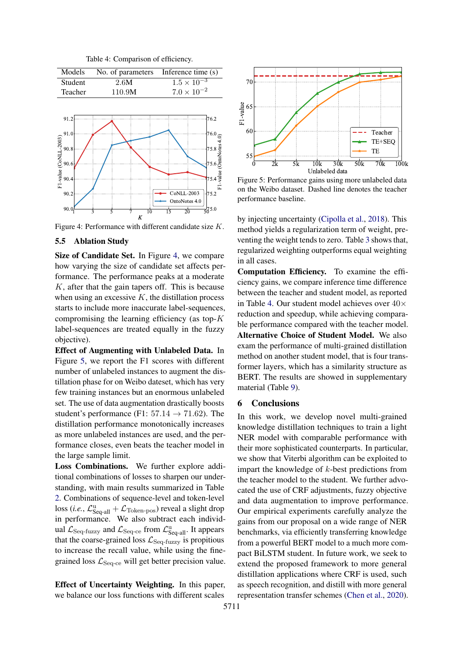Table 4: Comparison of efficiency.

<span id="page-7-2"></span><span id="page-7-0"></span>

Figure 4: Performance with different candidate size K.

### 5.5 Ablation Study

Size of Candidate Set. In Figure [4,](#page-7-0) we compare how varying the size of candidate set affects performance. The performance peaks at a moderate K, after that the gain tapers off. This is because when using an excessive  $K$ , the distillation process starts to include more inaccurate label-sequences, compromising the learning efficiency (as top-K label-sequences are treated equally in the fuzzy objective).

Effect of Augmenting with Unlabeled Data. In Figure [5,](#page-7-1) we report the F1 scores with different number of unlabeled instances to augment the distillation phase for on Weibo dateset, which has very few training instances but an enormous unlabeled set. The use of data augmentation drastically boosts student's performance (F1:  $57.14 \rightarrow 71.62$ ). The distillation performance monotonically increases as more unlabeled instances are used, and the performance closes, even beats the teacher model in the large sample limit.

Loss Combinations. We further explore additional combinations of losses to sharpen our understanding, with main results summarized in Table [2.](#page-6-1) Combinations of sequence-level and token-level  $\cos(i.e., \mathcal{L}_{\text{Seq-all}}^{\text{u}} + \mathcal{L}_{\text{Token-pos}})$  reveal a slight drop in performance. We also subtract each individual  $\mathcal{L}_{\text{Seq-fuzzy}}$  and  $\mathcal{L}_{\text{Seq-ce}}$  from  $\mathcal{L}_{\text{Seq-all}}^{\text{u}}$ . It appears that the coarse-grained loss  $\mathcal{L}_{\text{Seq-fluzzy}}$  is propitious to increase the recall value, while using the finegrained loss  $\mathcal{L}_{\text{Seq-ce}}$  will get better precision value.

Effect of Uncertainty Weighting. In this paper, we balance our loss functions with different scales

<span id="page-7-1"></span>

Figure 5: Performance gains using more unlabeled data on the Weibo dataset. Dashed line denotes the teacher performance baseline.

by injecting uncertainty [\(Cipolla et al.,](#page-8-13) [2018\)](#page-8-13). This method yields a regularization term of weight, preventing the weight tends to zero. Table [3](#page-6-2) shows that, regularized weighting outperforms equal weighting in all cases.

Computation Efficiency. To examine the efficiency gains, we compare inference time difference between the teacher and student model, as reported in Table [4.](#page-7-2) Our student model achieves over  $40\times$ reduction and speedup, while achieving comparable performance compared with the teacher model. Alternative Choice of Student Model. We also exam the performance of multi-grained distillation method on another student model, that is four transformer layers, which has a similarity structure as BERT. The results are showed in supplementary material (Table [9\)](#page-12-0).

#### 6 Conclusions

In this work, we develop novel multi-grained knowledge distillation techniques to train a light NER model with comparable performance with their more sophisticated counterparts. In particular, we show that Viterbi algorithm can be exploited to impart the knowledge of  $k$ -best predictions from the teacher model to the student. We further advocated the use of CRF adjustments, fuzzy objective and data augmentation to improve performance. Our empirical experiments carefully analyze the gains from our proposal on a wide range of NER benchmarks, via efficiently transferring knowledge from a powerful BERT model to a much more compact BiLSTM student. In future work, we seek to extend the proposed framework to more general distillation applications where CRF is used, such as speech recognition, and distill with more general representation transfer schemes [\(Chen et al.,](#page-8-23) [2020\)](#page-8-23).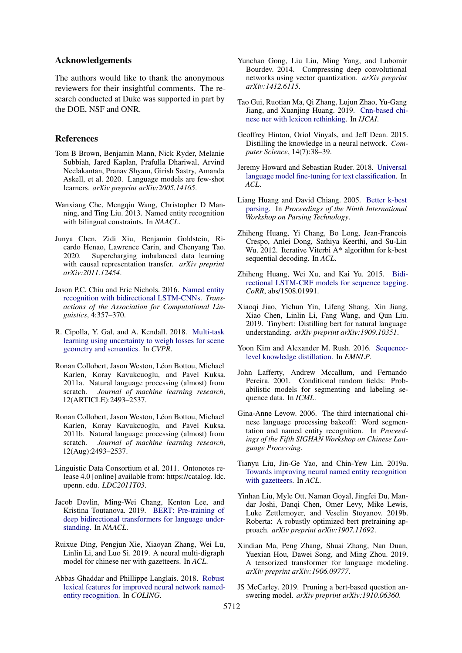## Acknowledgements

The authors would like to thank the anonymous reviewers for their insightful comments. The research conducted at Duke was supported in part by the DOE, NSF and ONR.

## References

- <span id="page-8-2"></span>Tom B Brown, Benjamin Mann, Nick Ryder, Melanie Subbiah, Jared Kaplan, Prafulla Dhariwal, Arvind Neelakantan, Pranav Shyam, Girish Sastry, Amanda Askell, et al. 2020. Language models are few-shot learners. *arXiv preprint arXiv:2005.14165*.
- <span id="page-8-19"></span>Wanxiang Che, Mengqiu Wang, Christopher D Manning, and Ting Liu. 2013. Named entity recognition with bilingual constraints. In *NAACL*.
- <span id="page-8-23"></span>Junya Chen, Zidi Xiu, Benjamin Goldstein, Ricardo Henao, Lawrence Carin, and Chenyang Tao. 2020. Supercharging imbalanced data learning with causal representation transfer. *arXiv preprint arXiv:2011.12454*.
- <span id="page-8-22"></span>Jason P.C. Chiu and Eric Nichols. 2016. [Named entity](https://doi.org/10.1162/tacl_a_00104) [recognition with bidirectional LSTM-CNNs.](https://doi.org/10.1162/tacl_a_00104) *Transactions of the Association for Computational Linguistics*, 4:357–370.
- <span id="page-8-13"></span>R. Cipolla, Y. Gal, and A. Kendall. 2018. [Multi-task](https://doi.org/10.1109/CVPR.2018.00781) [learning using uncertainty to weigh losses for scene](https://doi.org/10.1109/CVPR.2018.00781) [geometry and semantics.](https://doi.org/10.1109/CVPR.2018.00781) In *CVPR*.
- <span id="page-8-10"></span>Ronan Collobert, Jason Weston, Léon Bottou, Michael Karlen, Koray Kavukcuoglu, and Pavel Kuksa. 2011a. Natural language processing (almost) from scratch. *Journal of machine learning research*, 12(ARTICLE):2493–2537.
- <span id="page-8-12"></span>Ronan Collobert, Jason Weston, Léon Bottou, Michael Karlen, Koray Kavukcuoglu, and Pavel Kuksa. 2011b. Natural language processing (almost) from scratch. *Journal of machine learning research*, 12(Aug):2493–2537.
- <span id="page-8-18"></span>Linguistic Data Consortium et al. 2011. Ontonotes release 4.0 [online] available from: https://catalog. ldc. upenn. edu. *LDC2011T03*.
- <span id="page-8-0"></span>Jacob Devlin, Ming-Wei Chang, Kenton Lee, and Kristina Toutanova. 2019. [BERT: Pre-training of](https://doi.org/10.18653/v1/N19-1423) [deep bidirectional transformers for language under](https://doi.org/10.18653/v1/N19-1423)[standing.](https://doi.org/10.18653/v1/N19-1423) In *NAACL*.
- <span id="page-8-17"></span>Ruixue Ding, Pengjun Xie, Xiaoyan Zhang, Wei Lu, Linlin Li, and Luo Si. 2019. A neural multi-digraph model for chinese ner with gazetteers. In *ACL*.
- <span id="page-8-16"></span>Abbas Ghaddar and Phillippe Langlais. 2018. [Robust](https://www.aclweb.org/anthology/C18-1161) [lexical features for improved neural network named](https://www.aclweb.org/anthology/C18-1161)[entity recognition.](https://www.aclweb.org/anthology/C18-1161) In *COLING*.
- <span id="page-8-5"></span>Yunchao Gong, Liu Liu, Ming Yang, and Lubomir Bourdev. 2014. Compressing deep convolutional networks using vector quantization. *arXiv preprint arXiv:1412.6115*.
- <span id="page-8-15"></span>Tao Gui, Ruotian Ma, Qi Zhang, Lujun Zhao, Yu-Gang Jiang, and Xuanjing Huang. 2019. [Cnn-based chi](https://doi.org/10.24963/ijcai.2019/692)[nese ner with lexicon rethinking.](https://doi.org/10.24963/ijcai.2019/692) In *IJCAI*.
- <span id="page-8-6"></span>Geoffrey Hinton, Oriol Vinyals, and Jeff Dean. 2015. Distilling the knowledge in a neural network. *Computer Science*, 14(7):38–39.
- <span id="page-8-21"></span>Jeremy Howard and Sebastian Ruder. 2018. [Universal](https://doi.org/10.18653/v1/P18-1031) [language model fine-tuning for text classification.](https://doi.org/10.18653/v1/P18-1031) In *ACL*.
- <span id="page-8-8"></span>Liang Huang and David Chiang. 2005. [Better k-best](https://www.aclweb.org/anthology/W05-1506) [parsing.](https://www.aclweb.org/anthology/W05-1506) In *Proceedings of the Ninth International Workshop on Parsing Technology*.
- <span id="page-8-24"></span>Zhiheng Huang, Yi Chang, Bo Long, Jean-Francois Crespo, Anlei Dong, Sathiya Keerthi, and Su-Lin Wu. 2012. Iterative Viterbi A\* algorithm for k-best sequential decoding. In *ACL*.
- <span id="page-8-11"></span>Zhiheng Huang, Wei Xu, and Kai Yu. 2015. [Bidi](http://arxiv.org/abs/1508.01991)[rectional LSTM-CRF models for sequence tagging.](http://arxiv.org/abs/1508.01991) *CoRR*, abs/1508.01991.
- <span id="page-8-25"></span>Xiaoqi Jiao, Yichun Yin, Lifeng Shang, Xin Jiang, Xiao Chen, Linlin Li, Fang Wang, and Qun Liu. 2019. Tinybert: Distilling bert for natural language understanding. *arXiv preprint arXiv:1909.10351*.
- <span id="page-8-7"></span>Yoon Kim and Alexander M. Rush. 2016. [Sequence](https://doi.org/10.18653/v1/D16-1139)[level knowledge distillation.](https://doi.org/10.18653/v1/D16-1139) In *EMNLP*.
- <span id="page-8-9"></span>John Lafferty, Andrew Mccallum, and Fernando Pereira. 2001. Conditional random fields: Probabilistic models for segmenting and labeling sequence data. In *ICML*.
- <span id="page-8-20"></span>Gina-Anne Levow. 2006. The third international chinese language processing bakeoff: Word segmentation and named entity recognition. In *Proceedings of the Fifth SIGHAN Workshop on Chinese Language Processing*.
- <span id="page-8-14"></span>Tianyu Liu, Jin-Ge Yao, and Chin-Yew Lin. 2019a. [Towards improving neural named entity recognition](https://doi.org/10.18653/v1/P19-1524) [with gazetteers.](https://doi.org/10.18653/v1/P19-1524) In *ACL*.
- <span id="page-8-1"></span>Yinhan Liu, Myle Ott, Naman Goyal, Jingfei Du, Mandar Joshi, Danqi Chen, Omer Levy, Mike Lewis, Luke Zettlemoyer, and Veselin Stoyanov. 2019b. Roberta: A robustly optimized bert pretraining approach. *arXiv preprint arXiv:1907.11692*.
- <span id="page-8-4"></span>Xindian Ma, Peng Zhang, Shuai Zhang, Nan Duan, Yuexian Hou, Dawei Song, and Ming Zhou. 2019. A tensorized transformer for language modeling. *arXiv preprint arXiv:1906.09777*.
- <span id="page-8-3"></span>JS McCarley. 2019. Pruning a bert-based question answering model. *arXiv preprint arXiv:1910.06360*.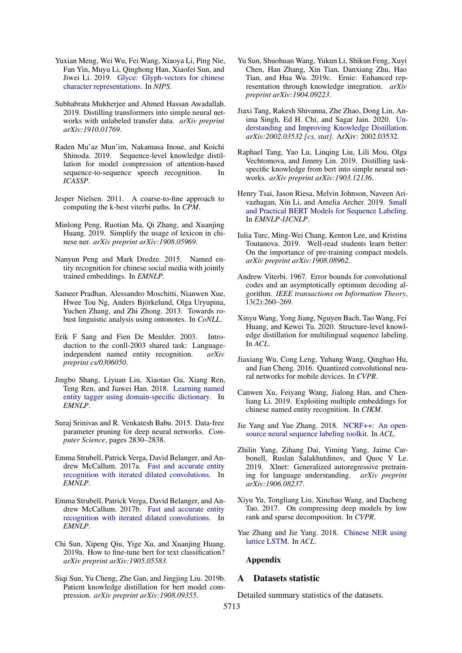- <span id="page-9-22"></span>Yuxian Meng, Wei Wu, Fei Wang, Xiaoya Li, Ping Nie, Fan Yin, Muyu Li, Qinghong Han, Xiaofei Sun, and Jiwei Li. 2019. [Glyce: Glyph-vectors for chinese](http://papers.nips.cc/paper/8542-glyce-glyph-vectors-for-chinese-character-representations.pdf) [character representations.](http://papers.nips.cc/paper/8542-glyce-glyph-vectors-for-chinese-character-representations.pdf) In *NIPS*.
- <span id="page-9-11"></span>Subhabrata Mukherjee and Ahmed Hassan Awadallah. 2019. Distilling transformers into simple neural networks with unlabeled transfer data. *arXiv preprint arXiv:1910.01769*.
- <span id="page-9-6"></span>Raden Mu'az Mun'im, Nakamasa Inoue, and Koichi Shinoda. 2019. Sequence-level knowledge distillation for model compression of attention-based sequence-to-sequence speech recognition. In *ICASSP*.
- <span id="page-9-8"></span>Jesper Nielsen. 2011. A coarse-to-fine approach to computing the k-best viterbi paths. In *CPM*.
- <span id="page-9-14"></span>Minlong Peng, Ruotian Ma, Qi Zhang, and Xuanjing Huang. 2019. Simplify the usage of lexicon in chinese ner. *arXiv preprint arXiv:1908.05969*.
- <span id="page-9-21"></span>Nanyun Peng and Mark Dredze. 2015. Named entity recognition for chinese social media with jointly trained embeddings. In *EMNLP*.
- <span id="page-9-20"></span>Sameer Pradhan, Alessandro Moschitti, Nianwen Xue, Hwee Tou Ng, Anders Björkelund, Olga Uryupina, Yuchen Zhang, and Zhi Zhong. 2013. Towards robust linguistic analysis using ontonotes. In *CoNLL*.
- <span id="page-9-19"></span>Erik F Sang and Fien De Meulder. 2003. Introduction to the conll-2003 shared task: Languageindependent named entity recognition. *arXiv preprint cs/0306050*.
- <span id="page-9-9"></span>Jingbo Shang, Liyuan Liu, Xiaotao Gu, Xiang Ren, Teng Ren, and Jiawei Han. 2018. [Learning named](https://doi.org/10.18653/v1/D18-1230) [entity tagger using domain-specific dictionary.](https://doi.org/10.18653/v1/D18-1230) In *EMNLP*.
- <span id="page-9-2"></span>Suraj Srinivas and R. Venkatesh Babu. 2015. Data-free parameter pruning for deep neural networks. *Computer Science*, pages 2830–2838.
- <span id="page-9-12"></span>Emma Strubell, Patrick Verga, David Belanger, and Andrew McCallum. 2017a. [Fast and accurate entity](https://doi.org/10.18653/v1/D17-1283) [recognition with iterated dilated convolutions.](https://doi.org/10.18653/v1/D17-1283) In *EMNLP*.
- <span id="page-9-24"></span>Emma Strubell, Patrick Verga, David Belanger, and Andrew McCallum. 2017b. [Fast and accurate entity](https://doi.org/10.18653/v1/D17-1283) [recognition with iterated dilated convolutions.](https://doi.org/10.18653/v1/D17-1283) In *EMNLP*.
- <span id="page-9-23"></span>Chi Sun, Xipeng Qiu, Yige Xu, and Xuanjing Huang. 2019a. How to fine-tune bert for text classification? *arXiv preprint arXiv:1905.05583*.
- <span id="page-9-16"></span>Siqi Sun, Yu Cheng, Zhe Gan, and Jingjing Liu. 2019b. Patient knowledge distillation for bert model compression. *arXiv preprint arXiv:1908.09355*.
- <span id="page-9-0"></span>Yu Sun, Shuohuan Wang, Yukun Li, Shikun Feng, Xuyi Chen, Han Zhang, Xin Tian, Danxiang Zhu, Hao Tian, and Hua Wu. 2019c. Ernie: Enhanced representation through knowledge integration. *arXiv preprint arXiv:1904.09223*.
- <span id="page-9-18"></span>Jiaxi Tang, Rakesh Shivanna, Zhe Zhao, Dong Lin, Anima Singh, Ed H. Chi, and Sagar Jain. 2020. [Un](http://arxiv.org/abs/2002.03532)[derstanding and Improving Knowledge Distillation.](http://arxiv.org/abs/2002.03532) *arXiv:2002.03532 [cs, stat]*. ArXiv: 2002.03532.
- <span id="page-9-5"></span>Raphael Tang, Yao Lu, Linqing Liu, Lili Mou, Olga Vechtomova, and Jimmy Lin. 2019. Distilling taskspecific knowledge from bert into simple neural networks. *arXiv preprint arXiv:1903.12136*.
- <span id="page-9-15"></span>Henry Tsai, Jason Riesa, Melvin Johnson, Naveen Arivazhagan, Xin Li, and Amelia Archer. 2019. [Small](https://doi.org/10.18653/v1/D19-1374) [and Practical BERT Models for Sequence Labeling.](https://doi.org/10.18653/v1/D19-1374) In *EMNLP-IJCNLP*.
- <span id="page-9-17"></span>Iulia Turc, Ming-Wei Chang, Kenton Lee, and Kristina Toutanova. 2019. Well-read students learn better: On the importance of pre-training compact models. *arXiv preprint arXiv:1908.08962*.
- <span id="page-9-7"></span>Andrew Viterbi. 1967. Error bounds for convolutional codes and an asymptotically optimum decoding algorithm. *IEEE transactions on Information Theory*, 13(2):260–269.
- <span id="page-9-10"></span>Xinyu Wang, Yong Jiang, Nguyen Bach, Tao Wang, Fei Huang, and Kewei Tu. 2020. Structure-level knowledge distillation for multilingual sequence labeling. In *ACL*.
- <span id="page-9-4"></span>Jiaxiang Wu, Cong Leng, Yuhang Wang, Qinghao Hu, and Jian Cheng. 2016. Quantized convolutional neural networks for mobile devices. In *CVPR*.
- <span id="page-9-25"></span>Canwen Xu, Feiyang Wang, Jialong Han, and Chenliang Li. 2019. Exploiting multiple embeddings for chinese named entity recognition. In *CIKM*.
- <span id="page-9-26"></span>Jie Yang and Yue Zhang. 2018. [NCRF++: An open](https://doi.org/10.18653/v1/P18-4013)[source neural sequence labeling toolkit.](https://doi.org/10.18653/v1/P18-4013) In *ACL*.
- <span id="page-9-1"></span>Zhilin Yang, Zihang Dai, Yiming Yang, Jaime Carbonell, Ruslan Salakhutdinov, and Quoc V Le. 2019. Xlnet: Generalized autoregressive pretraining for language understanding. *arXiv preprint arXiv:1906.08237*.
- <span id="page-9-3"></span>Xiyu Yu, Tongliang Liu, Xinchao Wang, and Dacheng Tao. 2017. On compressing deep models by low rank and sparse decomposition. In *CVPR*.
- <span id="page-9-13"></span>Yue Zhang and Jie Yang. 2018. [Chinese NER using](https://doi.org/10.18653/v1/P18-1144) [lattice LSTM.](https://doi.org/10.18653/v1/P18-1144) In *ACL*.

#### Appendix

#### A Datasets statistic

Detailed summary statistics of the datasets.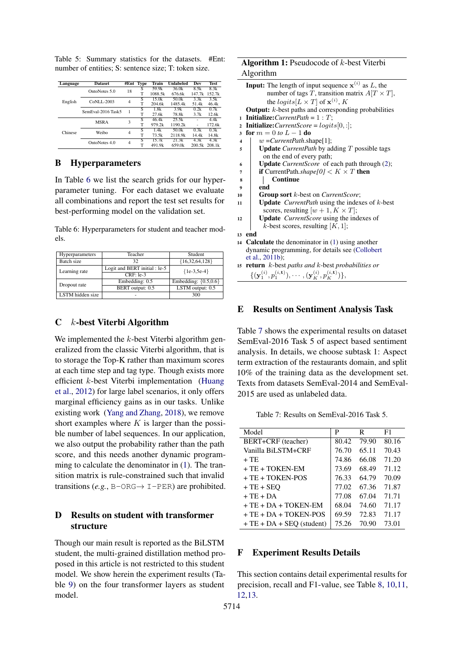Table 5: Summary statistics for the datasets. #Ent: number of entities; S: sentence size; T: token size.

| Language | <b>Dataset</b>     |                | #Ent Type | Train   | Unlabeled | Dev    | <b>Test</b> |
|----------|--------------------|----------------|-----------|---------|-----------|--------|-------------|
| English  | OntoNotes 5.0      | 18             | S         | 59.9k   | 36.0k     | 8.5k   | 8.3k        |
|          |                    |                | т         | 1088.5k | 676.6k    | 147.7k | 152.7k      |
|          | CoNLL-2003         | $\overline{4}$ | S         | 15.0k   | 50.0k     | 3.3k   | 3.5k        |
|          |                    |                | т         | 204.6k  | 1485.4k   | 51.4k  | 46.4k       |
|          | SemEval-2016 Task5 |                | S         | 1.8k    | 3.9k      | 0.2k   | 0.7k        |
|          |                    |                | т         | 27.6k   | 78.8k     | 3.7k   | 12.6k       |
|          | <b>MSRA</b>        | 3              | S         | 46.4k   | 25.5k     |        | 4.4k        |
|          |                    |                | T         | 979.2k  | 1190.2k   |        | 172.6k      |
| Chinese  | Weibo              | $\overline{4}$ | S         | 1.4k    | 50.0k     | 0.3k   | 0.3k        |
|          |                    |                | т         | 73.5k   | 2118.9k   | 14.4k  | 14.8k       |
|          |                    | 4              | S         | 15.7k   | 21.3k     | 4.3k   | 4.3k        |
|          | OntoNotes 4.0      |                | T         | 491.9k  | 659.0k    | 200.5k | 208.1k      |

### B Hyperparameters

In Table [6](#page-10-1) we list the search grids for our hyperparameter tuning. For each dataset we evaluate all combinations and report the test set results for best-performing model on the validation set.

<span id="page-10-1"></span>Table 6: Hyperparameters for student and teacher models.

| Hyperparameters  | Teacher                       | Student                   |  |
|------------------|-------------------------------|---------------------------|--|
| Batch size       | 32                            | ${16,32,64,128}$          |  |
| Learning rate    | Logit and BERT initial : le-5 | ${1e-3, 5e-4}$            |  |
|                  | $CRF:$ le-3                   |                           |  |
| Dropout rate     | Embedding: 0.5                | Embedding: $\{0.5, 0.6\}$ |  |
|                  | BERT output: 0.5              | LSTM output: 0.5          |  |
| LSTM hidden size |                               | 300                       |  |

### $C$  *k*-best Viterbi Algorithm

We implemented the  $k$ -best Viterbi algorithm generalized from the classic Viterbi algorithm, that is to storage the Top-K rather than maximum scores at each time step and tag type. Though exists more efficient k-best Viterbi implementation [\(Huang](#page-8-24) [et al.,](#page-8-24) [2012\)](#page-8-24) for large label scenarios, it only offers marginal efficiency gains as in our tasks. Unlike existing work [\(Yang and Zhang,](#page-9-26) [2018\)](#page-9-26), we remove short examples where  $K$  is larger than the possible number of label sequences. In our application, we also output the probability rather than the path score, and this needs another dynamic programming to calculate the denominator in [\(1\)](#page-1-0). The transition matrix is rule-constrained such that invalid transitions  $(e.g., B-ORG \rightarrow I-PER)$  are prohibited.

## D Results on student with transformer structure

Though our main result is reported as the BiLSTM student, the multi-grained distillation method proposed in this article is not restricted to this student model. We show herein the experiment results (Table [9\)](#page-12-0) on the four transformer layers as student model.

# Algorithm 1: Pseudocode of k-best Viterbi Algorithm

<span id="page-10-0"></span>

|              | <b>Input:</b> The length of input sequence $x^{(i)}$ as L, the                                         |
|--------------|--------------------------------------------------------------------------------------------------------|
|              | number of tags T, transition matrix $A[T \times T]$ ,                                                  |
|              | the <i>logits</i> $[L \times T]$ of $\mathbf{x}^{(i)}$ , K                                             |
|              | <b>Output:</b> $k$ -best paths and corresponding probabilities                                         |
| $\mathbf{1}$ | <b>Initialize:</b> <i>CurrentPath</i> = $1 : T$ ;                                                      |
| $\mathbf{2}$ | <b>Initialize:</b> <i>CurrentScore</i> = $logits[0, :]$ ;                                              |
| 3            | for $m = 0$ to $L - 1$ do                                                                              |
| 4            | $w = CurrentPath.shape[1];$                                                                            |
| 5            | <b>Update</b> <i>CurrentPath</i> by adding $T$ possible tags                                           |
|              | on the end of every path;                                                                              |
| 6            | Update CurrentScore of each path through (2);                                                          |
| 7            | <b>if</b> CurrentPath.shape[0] $\lt K \times T$ then                                                   |
| 8            | Continue                                                                                               |
| 9            | end                                                                                                    |
| 10           | <b>Group sort</b> <i>k</i> -best on <i>CurrentScore</i> ;                                              |
| 11           | <b>Update</b> <i>CurrentPath</i> using the indexes of $k$ -best                                        |
|              | scores, resulting $[w + 1, K \times T]$ ;                                                              |
| 12           | <b>Update</b> <i>CurrentScore</i> using the indexes of                                                 |
|              | k-best scores, resulting $[K, 1]$ ;                                                                    |
|              | 13 end                                                                                                 |
|              | 14 <b>Calculate</b> the denominator in $(1)$ using another                                             |
|              | dynamic programming, for details see (Collobert                                                        |
|              | et al., 2011b);                                                                                        |
| 15           | <b>return</b> $k$ -best paths and $k$ -best probabilities or                                           |
|              | $\{(\mathbf{y}_1^{(i)}, p_1^{(i,\mathbf{t})}), \cdots, (\mathbf{y}_K^{(i)}, p_K^{(i,\mathbf{t})})\},\$ |

## E Results on Sentiment Analysis Task

Table [7](#page-10-2) shows the experimental results on dataset SemEval-2016 Task 5 of aspect based sentiment analysis. In details, we choose subtask 1: Aspect term extraction of the restaurants domain, and split 10% of the training data as the development set. Texts from datasets SemEval-2014 and SemEval-2015 are used as unlabeled data.

Table 7: Results on SemEval-2016 Task 5.

<span id="page-10-2"></span>

| Model                       | P     | R     | F1    |
|-----------------------------|-------|-------|-------|
| BERT+CRF (teacher)          | 80.42 | 79.90 | 80.16 |
| Vanilla BiLSTM+CRF          | 76.70 | 65.11 | 70.43 |
| $+TE$                       | 74.86 | 66.08 | 71.20 |
| $+TE + TOKEN-EM$            | 73.69 | 68.49 | 71.12 |
| $+TE + TOKEN-POS$           | 76.33 | 64.79 | 70.09 |
| $+TE+SEO$                   | 77.02 | 67.36 | 71.87 |
| $+TE+DA$                    | 77.08 | 67.04 | 71.71 |
| $+TE + DA + TOKEN-EM$       | 68.04 | 74.60 | 71.17 |
| $+$ TE $+$ DA $+$ TOKEN-POS | 69.59 | 72.83 | 71.17 |
| $+TE + DA + SEO$ (student)  | 75.26 | 70.90 | 73.01 |

## F Experiment Results Details

This section contains detail experimental results for precision, recall and F1-value, see Table [8,](#page-11-0) [10](#page-11-1)[,11,](#page-11-2) [12](#page-11-3)[,13.](#page-11-4)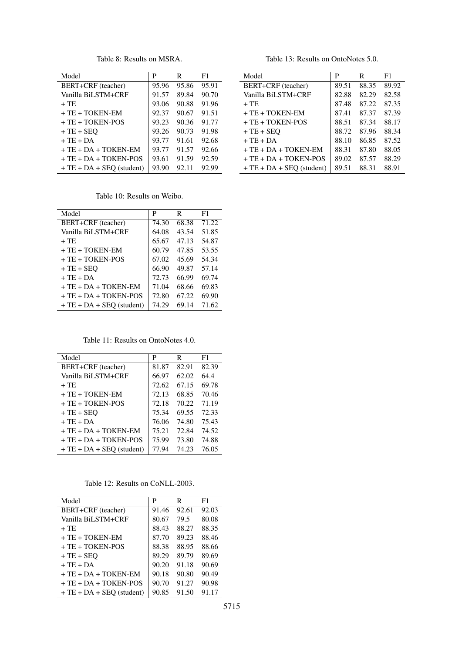Table 8: Results on MSRA.

<span id="page-11-0"></span>

| Model                      | P     | R     | F1    |
|----------------------------|-------|-------|-------|
| BERT+CRF (teacher)         | 95.96 | 95.86 | 95.91 |
| Vanilla BiLSTM+CRF         | 91.57 | 89.84 | 90.70 |
| $+TE$                      | 93.06 | 90.88 | 91.96 |
| $+TE + TOKEN-EM$           | 92.37 | 90.67 | 91.51 |
| $+TE + TOKEN-POS$          | 93.23 | 90.36 | 91.77 |
| $+TE+SEO$                  | 93.26 | 90.73 | 91.98 |
| $+TE+DA$                   | 93.77 | 91.61 | 92.68 |
| $+TE + DA + TOKEN-EM$      | 93.77 | 91.57 | 92.66 |
| $+TE + DA + TOKEN-POS$     | 93.61 | 91.59 | 92.59 |
| $+TE + DA + SEO$ (student) | 93.90 | 92.11 | 92.99 |

Table 13: Results on OntoNotes 5.0.

<span id="page-11-4"></span>Model P R F1

BERT+CRF (teacher) 89.51 88.35 89.92<br>Vanilla BiLSTM+CRF 82.88 82.29 82.58 Vanilla BiLSTM+CRF | 82.88 + TE 87.48 87.22 87.35 + TE + TOKEN-EM 87.41 87.37 87.39 + TE + TOKEN-POS <br>+ TE + SEQ 88.72 87.96 88.34 + TE + SEQ 88.72 87.96 88.34  $+ TE + DA$  88.10 86.85 87.52  $+ TE + DA + TOKEN-EM$  88.31 87.80 88.05  $+ TE + DA + TOKEN-POS$  89.02 87.57 88.29  $+ TE + DA + SEQ$  (student) 89.51 88.31 88.91

Table 10: Results on Weibo.

<span id="page-11-1"></span>

| Model                      | P     | R     | F1    |
|----------------------------|-------|-------|-------|
| BERT+CRF (teacher)         | 74.30 | 68.38 | 71.22 |
| Vanilla BiLSTM+CRF         | 64.08 | 43.54 | 51.85 |
| $+TE$                      | 65.67 | 47.13 | 54.87 |
| $+$ TE $+$ TOKEN-EM        | 60.79 | 47.85 | 53.55 |
| $+$ TE $+$ TOKEN-POS       | 67.02 | 45.69 | 54.34 |
| $+TE+SEO$                  | 66.90 | 49.87 | 57.14 |
| $+TE+DA$                   | 72.73 | 66.99 | 69.74 |
| $+$ TE $+$ DA $+$ TOKEN-EM | 71.04 | 68.66 | 69.83 |
| + TE + DA + TOKEN-POS      | 72.80 | 67.22 | 69.90 |
| $+TE + DA + SEO$ (student) | 74.29 | 69.14 | 71.62 |

Table 11: Results on OntoNotes 4.0.

<span id="page-11-2"></span>

| Model                      | P     | R     | F1    |
|----------------------------|-------|-------|-------|
| BERT+CRF (teacher)         | 81.87 | 82.91 | 82.39 |
| Vanilla BiLSTM+CRF         | 66.97 | 62.02 | 64.4  |
| + TE                       | 72.62 | 67.15 | 69.78 |
| $+TE + TOKEN-EM$           | 72.13 | 68.85 | 70.46 |
| $+TE + TOKEN-POS$          | 72.18 | 70.22 | 71.19 |
| $+TE+SEO$                  | 75.34 | 69.55 | 72.33 |
| $+TE+DA$                   | 76.06 | 74.80 | 75.43 |
| $+TE + DA + TOKEN-EM$      | 75.21 | 72.84 | 74.52 |
| $+TE + DA + TOKEN-POS$     | 75.99 | 73.80 | 74.88 |
| $+TE + DA + SEQ$ (student) | 77.94 | 74.23 | 76.05 |

Table 12: Results on CoNLL-2003.

<span id="page-11-3"></span>

| Model                      | P     | R     | F1    |
|----------------------------|-------|-------|-------|
| BERT+CRF (teacher)         | 91.46 | 92.61 | 92.03 |
| Vanilla BiLSTM+CRF         | 80.67 | 79.5  | 80.08 |
| $+TE$                      | 88.43 | 88.27 | 88.35 |
| $+TE+TOKEN-EM$             | 87.70 | 89.23 | 88.46 |
| $+TE + TOKEN-POS$          | 88.38 | 88.95 | 88.66 |
| $+TE+SEO$                  | 89.29 | 89.79 | 89.69 |
| $+TE+DA$                   | 90.20 | 91.18 | 90.69 |
| $+TE + DA + TOKEN-EM$      | 90.18 | 90.80 | 90.49 |
| $+TE + DA + TOKEN-POS$     | 90.70 | 91.27 | 90.98 |
| $+TE + DA + SEO$ (student) | 90.85 | 91.50 | 91.17 |